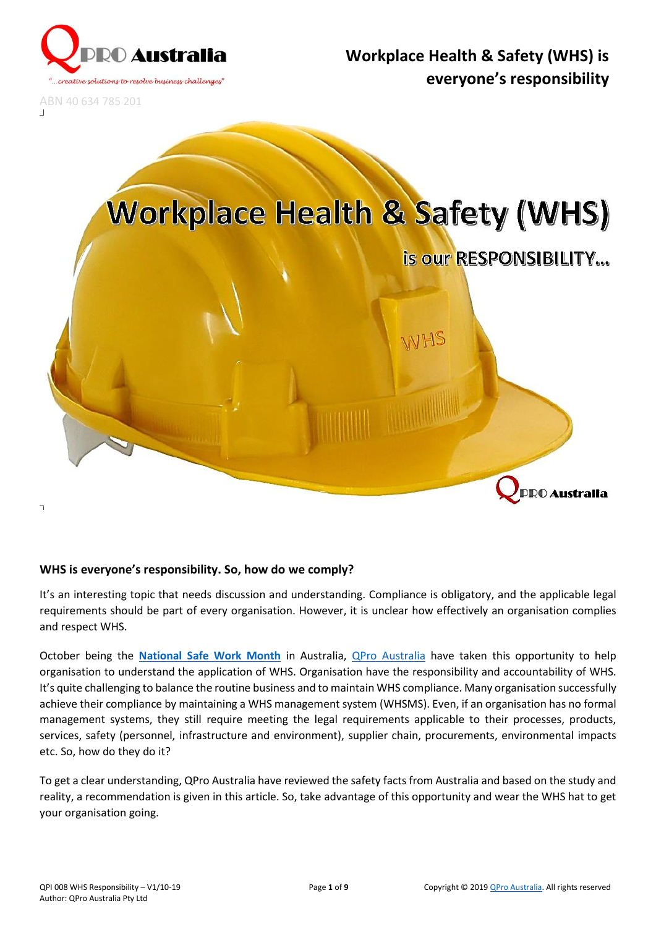

ABN 40 634 785 201

# **Workplace Health & Safety (WHS)**



π

# **WHS is everyone's responsibility. So, how do we comply?**

It's an interesting topic that needs discussion and understanding. Compliance is obligatory, and the applicable legal requirements should be part of every organisation. However, it is unclear how effectively an organisation complies and respect WHS.

October being the **[National Safe Work Month](https://www.safeworkaustralia.gov.au/national-safe-work-month)** in Australia, [QPro Australia](https://www.qproaustralia.com.au/) have taken this opportunity to help organisation to understand the application of WHS. Organisation have the responsibility and accountability of WHS. It's quite challenging to balance the routine business and to maintain WHS compliance. Many organisation successfully achieve their compliance by maintaining a WHS management system (WHSMS). Even, if an organisation has no formal management systems, they still require meeting the legal requirements applicable to their processes, products, services, safety (personnel, infrastructure and environment), supplier chain, procurements, environmental impacts etc. So, how do they do it?

To get a clear understanding, QPro Australia have reviewed the safety facts from Australia and based on the study and reality, a recommendation is given in this article. So, take advantage of this opportunity and wear the WHS hat to get your organisation going.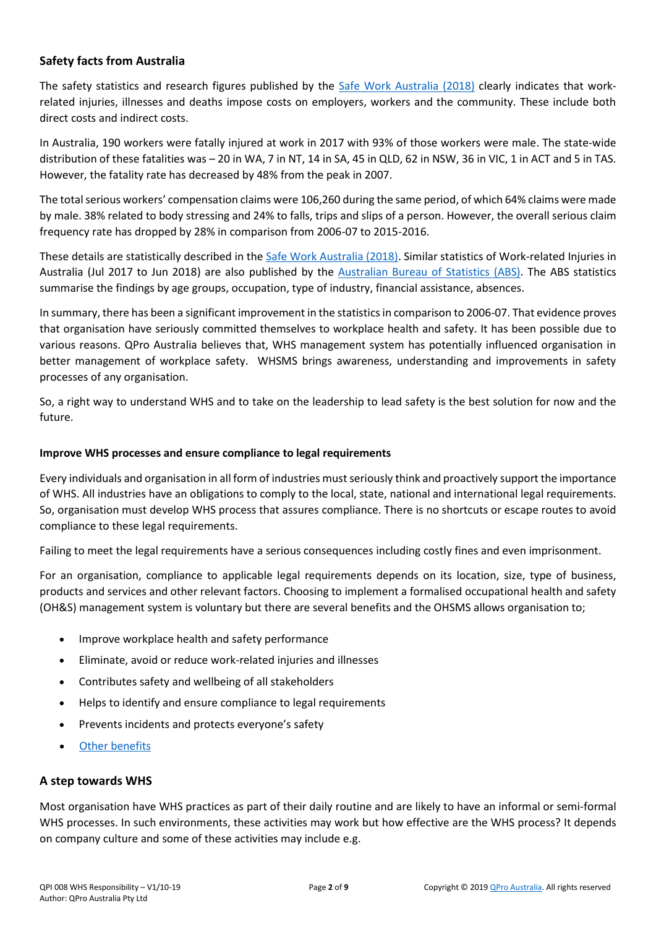# **Safety facts from Australia**

The safety statistics and research figures published by the [Safe Work Australia \(2018\)](https://www.safeworkaustralia.gov.au/book/work-related-injury-fatalities-key-whs-statistics-australia-2018) clearly indicates that workrelated injuries, illnesses and deaths impose costs on employers, workers and the community. These include both direct costs and indirect costs.

In Australia, 190 workers were fatally injured at work in 2017 with 93% of those workers were male. The state-wide distribution of these fatalities was – 20 in WA, 7 in NT, 14 in SA, 45 in QLD, 62 in NSW, 36 in VIC, 1 in ACT and 5 in TAS. However, the fatality rate has decreased by 48% from the peak in 2007.

The total serious workers' compensation claims were 106,260 during the same period, of which 64% claims were made by male. 38% related to body stressing and 24% to falls, trips and slips of a person. However, the overall serious claim frequency rate has dropped by 28% in comparison from 2006-07 to 2015-2016.

These details are statistically described in the [Safe Work Australia \(2018\).](https://www.safeworkaustralia.gov.au/book/work-related-injury-fatalities-key-whs-statistics-australia-2018) Similar statistics of Work-related Injuries in Australia (Jul 2017 to Jun 2018) are also published by the [Australian Bureau of Statistics \(ABS\).](https://www.abs.gov.au/ausstats/abs@.nsf/Latestproducts/6324.0Main%20Features1Jul%202017%20to%20Jun%202018?opendocument&tabname=Summary&prodno=6324.0&issue=Jul%202017%20to%20Jun%202018&num=&view=) The ABS statistics summarise the findings by age groups, occupation, type of industry, financial assistance, absences.

In summary, there has been a significant improvement in the statistics in comparison to 2006-07. That evidence proves that organisation have seriously committed themselves to workplace health and safety. It has been possible due to various reasons. QPro Australia believes that, WHS management system has potentially influenced organisation in better management of workplace safety. WHSMS brings awareness, understanding and improvements in safety processes of any organisation.

So, a right way to understand WHS and to take on the leadership to lead safety is the best solution for now and the future.

#### **Improve WHS processes and ensure compliance to legal requirements**

Every individuals and organisation in all form of industries must seriously think and proactively support the importance of WHS. All industries have an obligations to comply to the local, state, national and international legal requirements. So, organisation must develop WHS process that assures compliance. There is no shortcuts or escape routes to avoid compliance to these legal requirements.

Failing to meet the legal requirements have a serious consequences including costly fines and even imprisonment.

For an organisation, compliance to applicable legal requirements depends on its location, size, type of business, products and services and other relevant factors. Choosing to implement a formalised occupational health and safety (OH&S) management system is voluntary but there are several benefits and the OHSMS allows organisation to;

- Improve workplace health and safety performance
- Eliminate, avoid or reduce work-related injuries and illnesses
- Contributes safety and wellbeing of all stakeholders
- Helps to identify and ensure compliance to legal requirements
- Prevents incidents and protects everyone's safety
- [Other benefits](#page-4-0)

### **A step towards WHS**

Most organisation have WHS practices as part of their daily routine and are likely to have an informal or semi-formal WHS processes. In such environments, these activities may work but how effective are the WHS process? It depends on company culture and some of these activities may include e.g.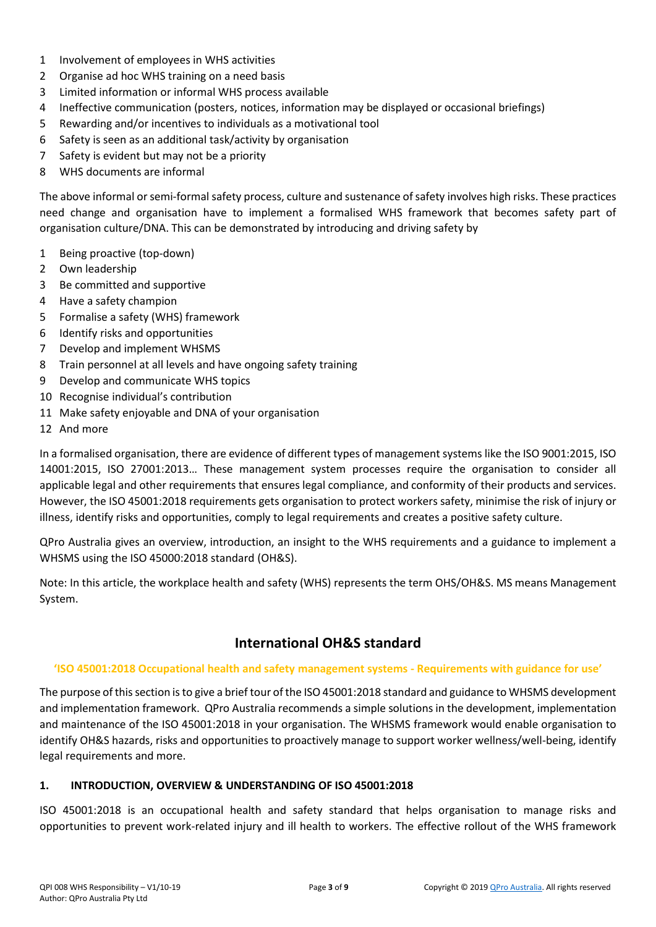- 1 Involvement of employees in WHS activities
- 2 Organise ad hoc WHS training on a need basis
- 3 Limited information or informal WHS process available
- 4 Ineffective communication (posters, notices, information may be displayed or occasional briefings)
- 5 Rewarding and/or incentives to individuals as a motivational tool
- 6 Safety is seen as an additional task/activity by organisation
- 7 Safety is evident but may not be a priority
- 8 WHS documents are informal

The above informal or semi-formal safety process, culture and sustenance of safety involves high risks. These practices need change and organisation have to implement a formalised WHS framework that becomes safety part of organisation culture/DNA. This can be demonstrated by introducing and driving safety by

- 1 Being proactive (top-down)
- 2 Own leadership
- 3 Be committed and supportive
- 4 Have a safety champion
- 5 Formalise a safety (WHS) framework
- 6 Identify risks and opportunities
- 7 Develop and implement WHSMS
- 8 Train personnel at all levels and have ongoing safety training
- 9 Develop and communicate WHS topics
- 10 Recognise individual's contribution
- 11 Make safety enjoyable and DNA of your organisation
- 12 And more

In a formalised organisation, there are evidence of different types of management systems like the ISO 9001:2015, ISO 14001:2015, ISO 27001:2013… These management system processes require the organisation to consider all applicable legal and other requirements that ensures legal compliance, and conformity of their products and services. However, the ISO 45001:2018 requirements gets organisation to protect workers safety, minimise the risk of injury or illness, identify risks and opportunities, comply to legal requirements and creates a positive safety culture.

QPro Australia gives an overview, introduction, an insight to the WHS requirements and a guidance to implement a WHSMS using the ISO 45000:2018 standard (OH&S).

Note: In this article, the workplace health and safety (WHS) represents the term OHS/OH&S. MS means Management System.

# **International OH&S standard**

#### **'ISO 45001:2018 Occupational health and safety management systems - Requirements with guidance for use'**

The purpose of this section is to give a brief tour of the ISO 45001:2018 standard and guidance to WHSMS development and implementation framework. QPro Australia recommends a simple solutions in the development, implementation and maintenance of the ISO 45001:2018 in your organisation. The WHSMS framework would enable organisation to identify OH&S hazards, risks and opportunities to proactively manage to support worker wellness/well-being, identify legal requirements and more.

#### **1. INTRODUCTION, OVERVIEW & UNDERSTANDING OF ISO 45001:2018**

ISO 45001:2018 is an occupational health and safety standard that helps organisation to manage risks and opportunities to prevent work-related injury and ill health to workers. The effective rollout of the WHS framework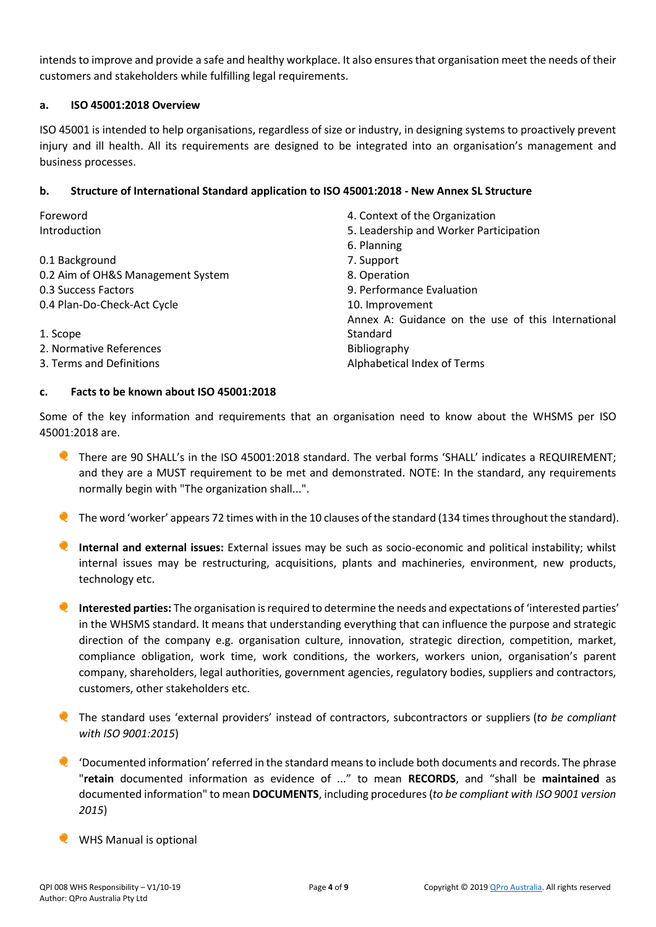intends to improve and provide a safe and healthy workplace. It also ensures that organisation meet the needs of their customers and stakeholders while fulfilling legal requirements.

#### **a. ISO 45001:2018 Overview**

ISO 45001 is intended to help organisations, regardless of size or industry, in designing systems to proactively prevent injury and ill health. All its requirements are designed to be integrated into an organisation's management and business processes.

#### **b. Structure of International Standard application to ISO 45001:2018 - New Annex SL Structure**

| Foreword                          | 4. Context of the Organization                     |
|-----------------------------------|----------------------------------------------------|
| Introduction                      | 5. Leadership and Worker Participation             |
|                                   | 6. Planning                                        |
| 0.1 Background                    | 7. Support                                         |
| 0.2 Aim of OH&S Management System | 8. Operation                                       |
| 0.3 Success Factors               | 9. Performance Evaluation                          |
| 0.4 Plan-Do-Check-Act Cycle       | 10. Improvement                                    |
|                                   | Annex A: Guidance on the use of this International |
| 1. Scope                          | Standard                                           |
| 2. Normative References           | Bibliography                                       |
| 3. Terms and Definitions          | Alphabetical Index of Terms                        |

#### **c. Facts to be known about ISO 45001:2018**

Some of the key information and requirements that an organisation need to know about the WHSMS per ISO 45001:2018 are.

- There are 90 SHALL's in the ISO 45001:2018 standard. The verbal forms 'SHALL' indicates a REQUIREMENT; and they are a MUST requirement to be met and demonstrated. NOTE: In the standard, any requirements normally begin with "The organization shall...".
- The word 'worker' appears 72 times with in the 10 clauses of the standard (134 times throughout the standard).
- **Internal and external issues:** External issues may be such as socio-economic and political instability; whilst internal issues may be restructuring, acquisitions, plants and machineries, environment, new products, technology etc.

**Interested parties:** The organisation is required to determine the needs and expectations of 'interested parties' in the WHSMS standard. It means that understanding everything that can influence the purpose and strategic direction of the company e.g. organisation culture, innovation, strategic direction, competition, market, compliance obligation, work time, work conditions, the workers, workers union, organisation's parent company, shareholders, legal authorities, government agencies, regulatory bodies, suppliers and contractors, customers, other stakeholders etc.

- The standard uses 'external providers' instead of contractors, subcontractors or suppliers (*to be compliant with ISO 9001:2015*)
- 'Documented information'referred in the standard meansto include both documents and records. The phrase "**retain** documented information as evidence of ..." to mean **RECORDS**, and "shall be **maintained** as documented information" to mean **DOCUMENTS**, including procedures (*to be compliant with ISO 9001 version 2015*)
- **WHS Manual is optional**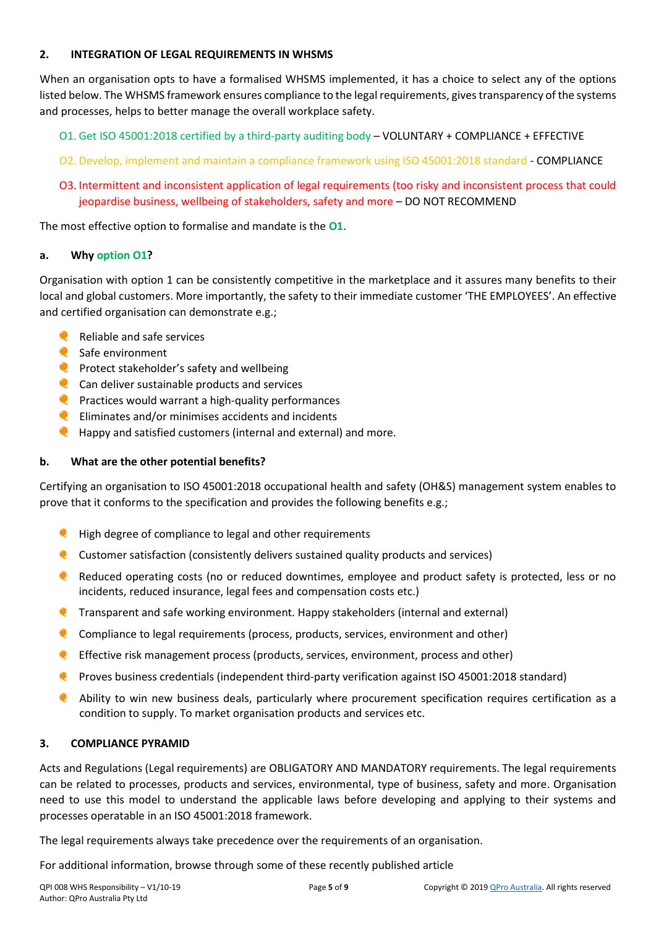### **2. INTEGRATION OF LEGAL REQUIREMENTS IN WHSMS**

When an organisation opts to have a formalised WHSMS implemented, it has a choice to select any of the options listed below. The WHSMS framework ensures compliance to the legal requirements, gives transparency of the systems and processes, helps to better manage the overall workplace safety.

- O1. Get ISO 45001:2018 certified by a third-party auditing body VOLUNTARY + COMPLIANCE + EFFECTIVE
- O2. Develop, implement and maintain a compliance framework using ISO 45001:2018 standard COMPLIANCE
- O3. Intermittent and inconsistent application of legal requirements (too risky and inconsistent process that could jeopardise business, wellbeing of stakeholders, safety and more – DO NOT RECOMMEND

The most effective option to formalise and mandate is the **O1**.

#### **a. Why option O1?**

Organisation with option 1 can be consistently competitive in the marketplace and it assures many benefits to their local and global customers. More importantly, the safety to their immediate customer 'THE EMPLOYEES'. An effective and certified organisation can demonstrate e.g.;

- $\bullet$ Reliable and safe services
- Safe environment
- $\bullet$  Protect stakeholder's safety and wellbeing
- $\bullet$  Can deliver sustainable products and services
- $\bullet$  Practices would warrant a high-quality performances
- $\bullet$  Eliminates and/or minimises accidents and incidents
- **Q** Happy and satisfied customers (internal and external) and more.

### <span id="page-4-0"></span>**b. What are the other potential benefits?**

Certifying an organisation to ISO 45001:2018 occupational health and safety (OH&S) management system enables to prove that it conforms to the specification and provides the following benefits e.g.;

- **Q** High degree of compliance to legal and other requirements
- $\bullet$  Customer satisfaction (consistently delivers sustained quality products and services)
- Reduced operating costs (no or reduced downtimes, employee and product safety is protected, less or no incidents, reduced insurance, legal fees and compensation costs etc.)
- **Q** Transparent and safe working environment. Happy stakeholders (internal and external)
- Compliance to legal requirements (process, products, services, environment and other)
- **C** Effective risk management process (products, services, environment, process and other)
- **Proves business credentials (independent third-party verification against ISO 45001:2018 standard)**
- Ability to win new business deals, particularly where procurement specification requires certification as a condition to supply. To market organisation products and services etc.

#### **3. COMPLIANCE PYRAMID**

Acts and Regulations (Legal requirements) are OBLIGATORY AND MANDATORY requirements. The legal requirements can be related to processes, products and services, environmental, type of business, safety and more. Organisation need to use this model to understand the applicable laws before developing and applying to their systems and processes operatable in an ISO 45001:2018 framework.

The legal requirements always take precedence over the requirements of an organisation.

For additional information, browse through some of these recently published article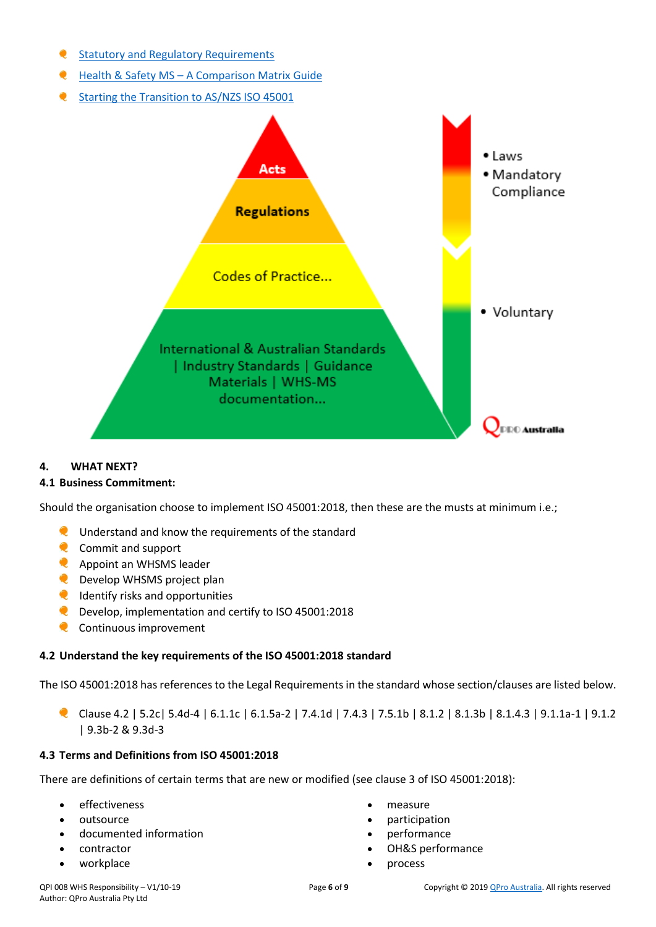- [Statutory and Regulatory Requirements](https://www.linkedin.com/pulse/statutory-regulatory-requirements-insight-clarity-wilson-fernandez/)
- **Q** Health & Safety MS [A Comparison Matrix](https://www.linkedin.com/pulse/health-safety-ms-comparison-matrix-guide-wilson-fernandez/) Guide
- [Starting the Transition to AS/NZS ISO 45001](https://www.linkedin.com/pulse/starting-transition-asnzs-iso-45001-wilson-fernandez/)



#### **4. WHAT NEXT?**

#### **4.1 Business Commitment:**

Should the organisation choose to implement ISO 45001:2018, then these are the musts at minimum i.e.;

- **Q** Understand and know the requirements of the standard
- **C** Commit and support
- **Appoint an WHSMS leader**
- **Q** Develop WHSMS project plan
- **Q** Identify risks and opportunities
- **C** Develop, implementation and certify to ISO 45001:2018
- **Q** Continuous improvement

# **4.2 Understand the key requirements of the ISO 45001:2018 standard**

The ISO 45001:2018 has references to the Legal Requirements in the standard whose section/clauses are listed below.

Clause 4.2 | 5.2c| 5.4d-4 | 6.1.1c | 6.1.5a-2 | 7.4.1d | 7.4.3 | 7.5.1b | 8.1.2 | 8.1.3b | 8.1.4.3 | 9.1.1a-1 | 9.1.2 | 9.3b-2 & 9.3d-3

# **4.3 Terms and Definitions from ISO 45001:2018**

There are definitions of certain terms that are new or modified (see clause 3 of ISO 45001:2018):

- effectiveness
- outsource
- documented information
- contractor
- workplace
- measure
- participation
- performance
- OH&S performance
- process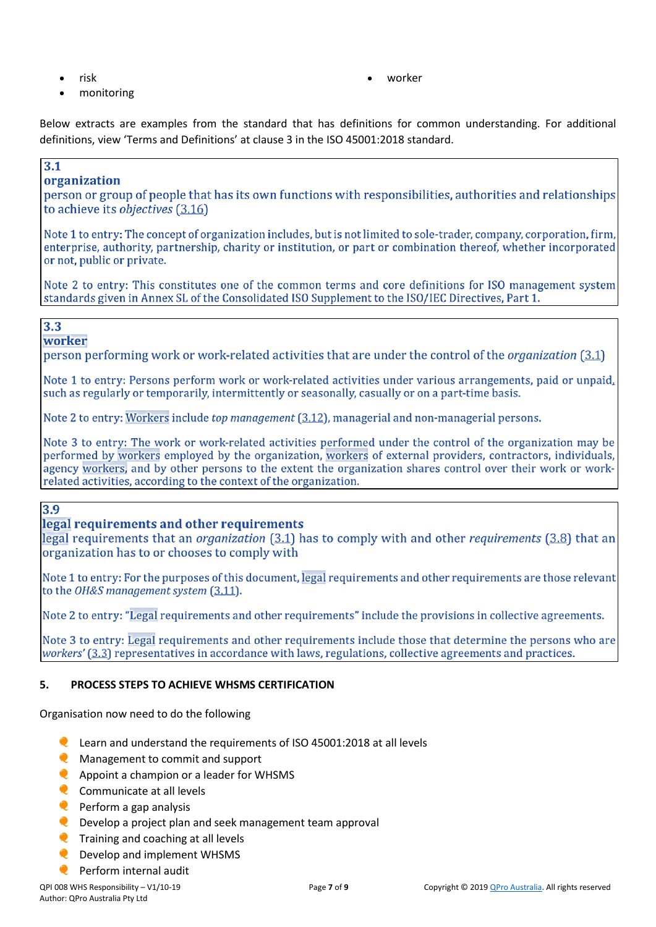- risk
- monitoring

• worker

Below extracts are examples from the standard that has definitions for common understanding. For additional definitions, view 'Terms and Definitions' at clause 3 in the ISO 45001:2018 standard.

# $3.1$

# organization

person or group of people that has its own functions with responsibilities, authorities and relationships to achieve its *objectives* (3.16)

Note 1 to entry: The concept of organization includes, but is not limited to sole-trader, company, corporation, firm, enterprise, authority, partnership, charity or institution, or part or combination thereof, whether incorporated or not, public or private.

Note 2 to entry: This constitutes one of the common terms and core definitions for ISO management system standards given in Annex SL of the Consolidated ISO Supplement to the ISO/IEC Directives, Part 1.

# $3.3$

worker

person performing work or work-related activities that are under the control of the *organization* (3.1)

Note 1 to entry: Persons perform work or work-related activities under various arrangements, paid or unpaid, such as regularly or temporarily, intermittently or seasonally, casually or on a part-time basis.

Note 2 to entry: Workers include *top management* (3.12), managerial and non-managerial persons.

Note 3 to entry: The work or work-related activities performed under the control of the organization may be performed by workers employed by the organization, workers of external providers, contractors, individuals, agency workers, and by other persons to the extent the organization shares control over their work or workrelated activities, according to the context of the organization.

# 3.9

# legal requirements and other requirements

legal requirements that an *organization* (3.1) has to comply with and other *requirements* (3.8) that an organization has to or chooses to comply with

Note 1 to entry: For the purposes of this document, legal requirements and other requirements are those relevant to the OH&S management system (3.11).

Note 2 to entry: "Legal requirements and other requirements" include the provisions in collective agreements.

Note 3 to entry: Legal requirements and other requirements include those that determine the persons who are workers' (3.3) representatives in accordance with laws, regulations, collective agreements and practices.

### **5. PROCESS STEPS TO ACHIEVE WHSMS CERTIFICATION**

Organisation now need to do the following

- Learn and understand the requirements of ISO 45001:2018 at all levels
- **C** Management to commit and support
- **Appoint a champion or a leader for WHSMS**
- Communicate at all levels
- $\bullet$  Perform a gap analysis
- Develop a project plan and seek management team approval
- **Q** Training and coaching at all levels
- Q Develop and implement WHSMS
- Perform internal audit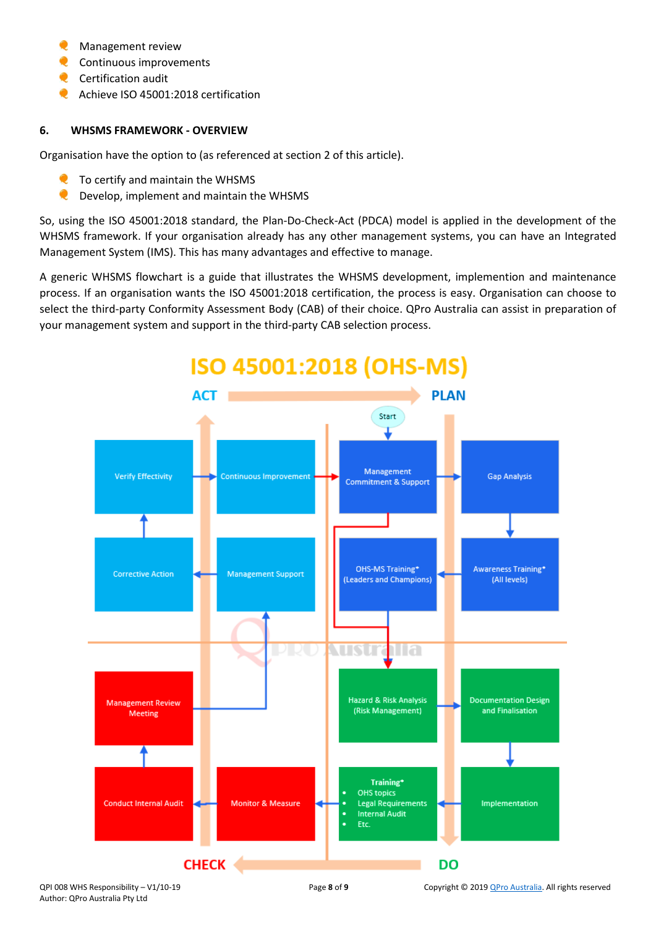- Management review
- Continuous improvements
- **C** Certification audit
- Achieve ISO 45001:2018 certification

### **6. WHSMS FRAMEWORK - OVERVIEW**

Organisation have the option to (as referenced at section 2 of this article).

- To certify and maintain the WHSMS
- Develop, implement and maintain the WHSMS

So, using the ISO 45001:2018 standard, the Plan-Do-Check-Act (PDCA) model is applied in the development of the WHSMS framework. If your organisation already has any other management systems, you can have an Integrated Management System (IMS). This has many advantages and effective to manage.

A generic WHSMS flowchart is a guide that illustrates the WHSMS development, implemention and maintenance process. If an organisation wants the ISO 45001:2018 certification, the process is easy. Organisation can choose to select the third-party Conformity Assessment Body (CAB) of their choice. QPro Australia can assist in preparation of your management system and support in the third-party CAB selection process.